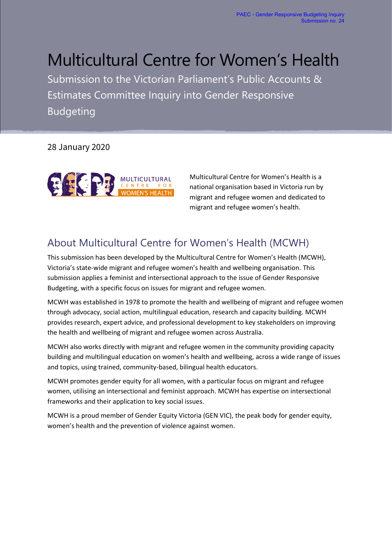# Multicultural Centre for Women's Health

Submission to the Victorian Parliament's Public Accounts & Estimates Committee Inquiry into Gender Responsive Budgeting

28 January 2020



Multicultural Centre for Women's Health is a national organisation based in Victoria run by migrant and refugee women and dedicated to migrant and refugee women's health.

# About Multicultural Centre for Women's Health (MCWH)

This submission has been developed by the Multicultural Centre for Women's Health (MCWH), Victoria's state-wide migrant and refugee women's health and wellbeing organisation. This submission applies a feminist and intersectional approach to the issue of Gender Responsive Budgeting, with a specific focus on issues for migrant and refugee women.

MCWH was established in 1978 to promote the health and wellbeing of migrant and refugee women through advocacy, social action, multilingual education, research and capacity building. MCWH provides research, expert advice, and professional development to key stakeholders on improving the health and wellbeing of migrant and refugee women across Australia.

MCWH also works directly with migrant and refugee women in the community providing capacity building and multilingual education on women's health and wellbeing, across a wide range of issues and topics, using trained, community-based, bilingual health educators.

MCWH promotes gender equity for all women, with a particular focus on migrant and refugee women, utilising an intersectional and feminist approach. MCWH has expertise on intersectional frameworks and their application to key social issues.

MCWH is a proud member of Gender Equity Victoria (GEN VIC), the peak body for gender equity, women's health and the prevention of violence against women.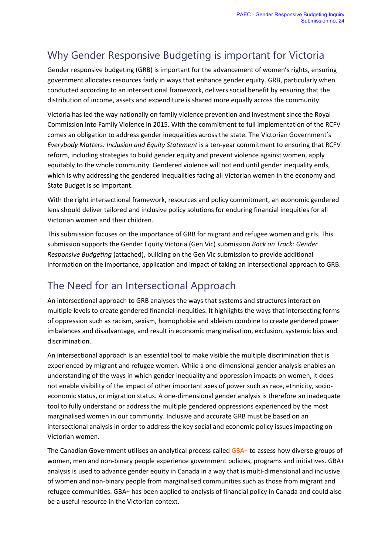# Why Gender Responsive Budgeting is important for Victoria

Gender responsive budgeting (GRB) is important for the advancement of women's rights, ensuring government allocates resources fairly in ways that enhance gender equity. GRB, particularly when conducted according to an intersectional framework, delivers social benefit by ensuring that the distribution of income, assets and expenditure is shared more equally across the community.

Victoria has led the way nationally on family violence prevention and investment since the Royal Commission into Family Violence in 2015. With the commitment to full implementation of the RCFV comes an obligation to address gender inequalities across the state. The Victorian Government's *Everybody Matters: Inclusion and Equity Statement* is a ten-year commitment to ensuring that RCFV reform, including strategies to build gender equity and prevent violence against women, apply equitably to the whole community. Gendered violence will not end until gender inequality ends, which is why addressing the gendered inequalities facing all Victorian women in the economy and State Budget is so important.

With the right intersectional framework, resources and policy commitment, an economic gendered lens should deliver tailored and inclusive policy solutions for enduring financial inequities for all Victorian women and their children.

This submission focuses on the importance of GRB for migrant and refugee women and girls. This submission supports the Gender Equity Victoria (Gen Vic) submission *Back on Track: Gender Responsive Budgeting* (attached), building on the Gen Vic submission to provide additional information on the importance, application and impact of taking an intersectional approach to GRB.

### The Need for an Intersectional Approach

An intersectional approach to GRB analyses the ways that systems and structures interact on multiple levels to create gendered financial inequities. It highlights the ways that intersecting forms of oppression such as racism, sexism, homophobia and ableism combine to create gendered power imbalances and disadvantage, and result in economic marginalisation, exclusion, systemic bias and discrimination.

An intersectional approach is an essential tool to make visible the multiple discrimination that is experienced by migrant and refugee women. While a one-dimensional gender analysis enables an understanding of the ways in which gender inequality and oppression impacts on women, it does not enable visibility of the impact of other important axes of power such as race, ethnicity, socioeconomic status, or migration status. A one-dimensional gender analysis is therefore an inadequate tool to fully understand or address the multiple gendered oppressions experienced by the most marginalised women in our community. Inclusive and accurate GRB must be based on an intersectional analysis in order to address the key social and economic policy issues impacting on Victorian women.

The Canadian Government utilises an analytical process calle[d GBA+](https://cfc-swc.gc.ca/gba-acs/index-en.html#what) to assess how diverse groups of women, men and non-binary people experience government policies, programs and initiatives. GBA+ analysis is used to advance gender equity in Canada in a way that is multi-dimensional and inclusive of women and non-binary people from marginalised communities such as those from migrant and refugee communities. GBA+ has been applied to analysis of financial policy in Canada and could also be a useful resource in the Victorian context.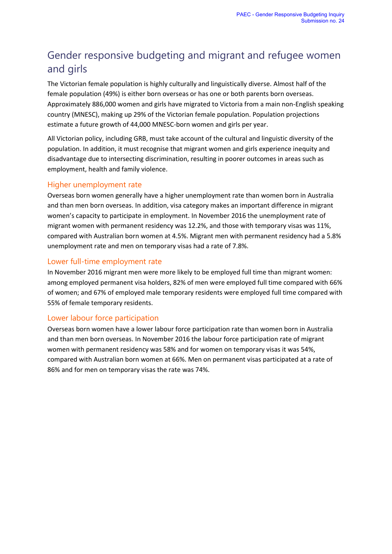### Gender responsive budgeting and migrant and refugee women and girls

The Victorian female population is highly culturally and linguistically diverse. Almost half of the female population (49%) is either born overseas or has one or both parents born overseas. Approximately 886,000 women and girls have migrated to Victoria from a main non-English speaking country (MNESC), making up 29% of the Victorian female population. Population projections estimate a future growth of 44,000 MNESC-born women and girls per year.

All Victorian policy, including GRB, must take account of the cultural and linguistic diversity of the population. In addition, it must recognise that migrant women and girls experience inequity and disadvantage due to intersecting discrimination, resulting in poorer outcomes in areas such as employment, health and family violence.

#### Higher unemployment rate

Overseas born women generally have a higher unemployment rate than women born in Australia and than men born overseas. In addition, visa category makes an important difference in migrant women's capacity to participate in employment. In November 2016 the unemployment rate of migrant women with permanent residency was 12.2%, and those with temporary visas was 11%, compared with Australian born women at 4.5%. Migrant men with permanent residency had a 5.8% unemployment rate and men on temporary visas had a rate of 7.8%.

#### Lower full-time employment rate

In November 2016 migrant men were more likely to be employed full time than migrant women: among employed permanent visa holders, 82% of men were employed full time compared with 66% of women; and 67% of employed male temporary residents were employed full time compared with 55% of female temporary residents.

#### Lower labour force participation

Overseas born women have a lower labour force participation rate than women born in Australia and than men born overseas. In November 2016 the labour force participation rate of migrant women with permanent residency was 58% and for women on temporary visas it was 54%, compared with Australian born women at 66%. Men on permanent visas participated at a rate of 86% and for men on temporary visas the rate was 74%.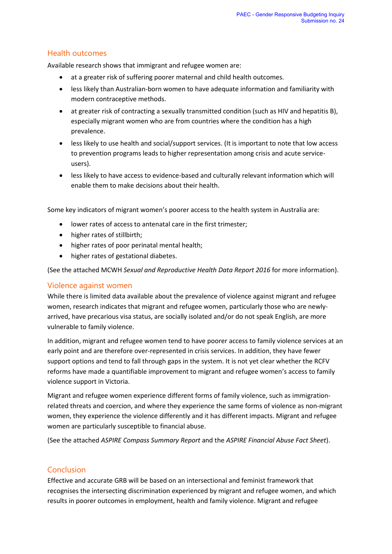#### Health outcomes

Available research shows that immigrant and refugee women are:

- at a greater risk of suffering poorer maternal and child health outcomes.
- less likely than Australian-born women to have adequate information and familiarity with modern contraceptive methods.
- at greater risk of contracting a sexually transmitted condition (such as HIV and hepatitis B), especially migrant women who are from countries where the condition has a high prevalence.
- less likely to use health and social/support services. (It is important to note that low access to prevention programs leads to higher representation among crisis and acute serviceusers).
- less likely to have access to evidence-based and culturally relevant information which will enable them to make decisions about their health.

Some key indicators of migrant women's poorer access to the health system in Australia are:

- lower rates of access to antenatal care in the first trimester;
- higher rates of stillbirth;
- higher rates of poor perinatal mental health;
- higher rates of gestational diabetes.

(See the attached MCWH *Sexual and Reproductive Health Data Report 2016* for more information).

#### Violence against women

While there is limited data available about the prevalence of violence against migrant and refugee women, research indicates that migrant and refugee women, particularly those who are newlyarrived, have precarious visa status, are socially isolated and/or do not speak English, are more vulnerable to family violence.

In addition, migrant and refugee women tend to have poorer access to family violence services at an early point and are therefore over-represented in crisis services. In addition, they have fewer support options and tend to fall through gaps in the system. It is not yet clear whether the RCFV reforms have made a quantifiable improvement to migrant and refugee women's access to family violence support in Victoria.

Migrant and refugee women experience different forms of family violence, such as immigrationrelated threats and coercion, and where they experience the same forms of violence as non-migrant women, they experience the violence differently and it has different impacts. Migrant and refugee women are particularly susceptible to financial abuse.

(See the attached *ASPIRE Compass Summary Report* and the *ASPIRE Financial Abuse Fact Sheet*).

#### Conclusion

Effective and accurate GRB will be based on an intersectional and feminist framework that recognises the intersecting discrimination experienced by migrant and refugee women, and which results in poorer outcomes in employment, health and family violence. Migrant and refugee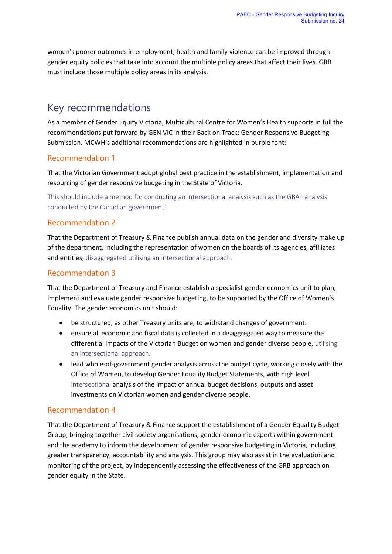women's poorer outcomes in employment, health and family violence can be improved through gender equity policies that take into account the multiple policy areas that affect their lives. GRB must include those multiple policy areas in its analysis.

### Key recommendations

As a member of Gender Equity Victoria, Multicultural Centre for Women's Health supports in full the recommendations put forward by GEN VIC in their Back on Track: Gender Responsive Budgeting Submission. MCWH's additional recommendations are highlighted in purple font:

#### Recommendation 1

That the Victorian Government adopt global best practice in the establishment, implementation and resourcing of gender responsive budgeting in the State of Victoria.

This should include a method for conducting an intersectional analysis such as the GBA+ analysis conducted by the Canadian government.

#### Recommendation 2

That the Department of Treasury & Finance publish annual data on the gender and diversity make up of the department, including the representation of women on the boards of its agencies, affiliates and entities, disaggregated utilising an intersectional approach.

#### Recommendation 3

That the Department of Treasury and Finance establish a specialist gender economics unit to plan, implement and evaluate gender responsive budgeting, to be supported by the Office of Women's Equality. The gender economics unit should:

- be structured, as other Treasury units are, to withstand changes of government.
- ensure all economic and fiscal data is collected in a disaggregated way to measure the differential impacts of the Victorian Budget on women and gender diverse people, utilising an intersectional approach.
- lead whole-of-government gender analysis across the budget cycle, working closely with the Office of Women, to develop Gender Equality Budget Statements, with high level intersectional analysis of the impact of annual budget decisions, outputs and asset investments on Victorian women and gender diverse people.

#### Recommendation 4

That the Department of Treasury & Finance support the establishment of a Gender Equality Budget Group, bringing together civil society organisations, gender economic experts within government and the academy to inform the development of gender responsive budgeting in Victoria, including greater transparency, accountability and analysis. This group may also assist in the evaluation and monitoring of the project, by independently assessing the effectiveness of the GRB approach on gender equity in the State.